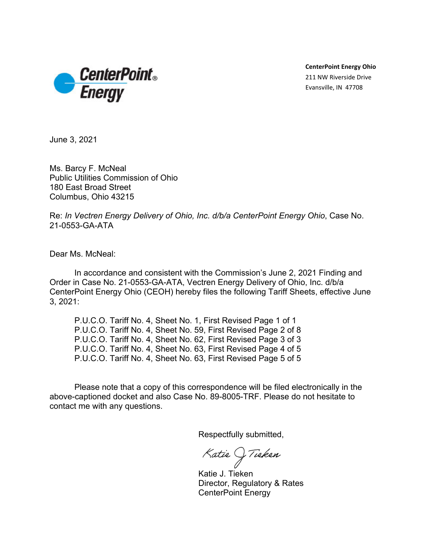

**CenterPoint Energy Ohio** 211 NW Riverside Drive Evansville, IN 47708

June 3, 2021

Ms. Barcy F. McNeal Public Utilities Commission of Ohio 180 East Broad Street Columbus, Ohio 43215

Re: *In Vectren Energy Delivery of Ohio, Inc. d/b/a CenterPoint Energy Ohio*, Case No. 21-0553-GA-ATA

Dear Ms. McNeal:

In accordance and consistent with the Commission's June 2, 2021 Finding and Order in Case No. 21-0553-GA-ATA, Vectren Energy Delivery of Ohio, Inc. d/b/a CenterPoint Energy Ohio (CEOH) hereby files the following Tariff Sheets, effective June 3, 2021:

P.U.C.O. Tariff No. 4, Sheet No. 1, First Revised Page 1 of 1 P.U.C.O. Tariff No. 4, Sheet No. 59, First Revised Page 2 of 8 P.U.C.O. Tariff No. 4, Sheet No. 62, First Revised Page 3 of 3 P.U.C.O. Tariff No. 4, Sheet No. 63, First Revised Page 4 of 5 P.U.C.O. Tariff No. 4, Sheet No. 63, First Revised Page 5 of 5

Please note that a copy of this correspondence will be filed electronically in the above-captioned docket and also Case No. 89-8005-TRF. Please do not hesitate to contact me with any questions.

Respectfully submitted,

Katie () Tieken

Katie J. Tieken Director, Regulatory & Rates CenterPoint Energy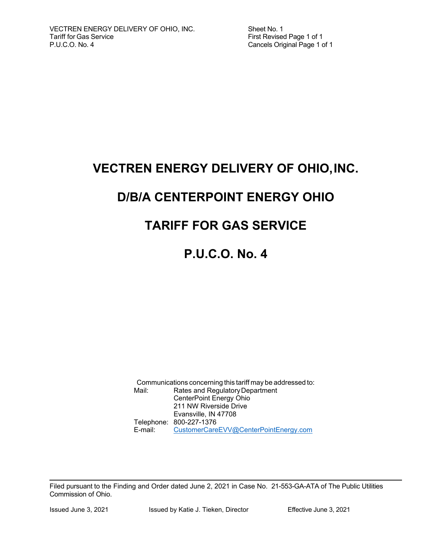Sheet No. 1 First Revised Page 1 of 1 Cancels Original Page 1 of 1

## **VECTREN ENERGY DELIVERY OF OHIO, INC.**

# **D/B/A CENTERPOINT ENERGY OHIO**

# **TARIFF FOR GAS SERVICE**

# **P.U.C.O. No. 4**

Communications concerning this tariff may be addressed to: Mail: Rates and Regulatory Department CenterPoint Energy Ohio 211 NW Riverside Drive Evansville, IN 47708 Telephone: 800-227-1376 E-mail: CustomerCareEVV@CenterPointEnergy.com

Filed pursuant to the Finding and Order dated June 2, 2021 in Case No. 21-553-GA-ATA of The Public Utilities Commission of Ohio.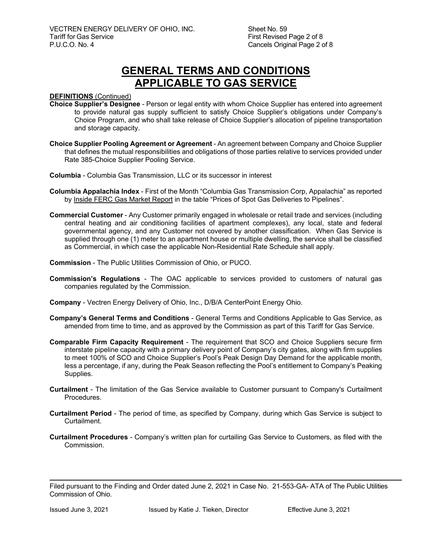Sheet No. 59 First Revised Page 2 of 8 Cancels Original Page 2 of 8

## **GENERAL TERMS AND CONDITIONS APPLICABLE TO GAS SERVICE**

#### **DEFINITIONS** (Continued)

- **Choice Supplier's Designee** Person or legal entity with whom Choice Supplier has entered into agreement to provide natural gas supply sufficient to satisfy Choice Supplier's obligations under Company's Choice Program, and who shall take release of Choice Supplier's allocation of pipeline transportation and storage capacity.
- **Choice Supplier Pooling Agreement or Agreement** An agreement between Company and Choice Supplier that defines the mutual responsibilities and obligations of those parties relative to services provided under Rate 385-Choice Supplier Pooling Service.
- **Columbia** Columbia Gas Transmission, LLC or its successor in interest
- **Columbia Appalachia Index** First of the Month "Columbia Gas Transmission Corp, Appalachia" as reported by Inside FERC Gas Market Report in the table "Prices of Spot Gas Deliveries to Pipelines".
- **Commercial Customer** Any Customer primarily engaged in wholesale or retail trade and services (including central heating and air conditioning facilities of apartment complexes), any local, state and federal governmental agency, and any Customer not covered by another classification. When Gas Service is supplied through one (1) meter to an apartment house or multiple dwelling, the service shall be classified as Commercial, in which case the applicable Non-Residential Rate Schedule shall apply.
- **Commission** The Public Utilities Commission of Ohio, or PUCO.
- **Commission's Regulations** The OAC applicable to services provided to customers of natural gas companies regulated by the Commission.
- **Company** Vectren Energy Delivery of Ohio, Inc., D/B/A CenterPoint Energy Ohio.
- **Company's General Terms and Conditions** General Terms and Conditions Applicable to Gas Service, as amended from time to time, and as approved by the Commission as part of this Tariff for Gas Service.
- **Comparable Firm Capacity Requirement** The requirement that SCO and Choice Suppliers secure firm interstate pipeline capacity with a primary delivery point of Company's city gates, along with firm supplies to meet 100% of SCO and Choice Supplier's Pool's Peak Design Day Demand for the applicable month, less a percentage, if any, during the Peak Season reflecting the Pool's entitlement to Company's Peaking Supplies.
- **Curtailment** The limitation of the Gas Service available to Customer pursuant to Company's Curtailment **Procedures**
- **Curtailment Period** The period of time, as specified by Company, during which Gas Service is subject to **Curtailment**
- **Curtailment Procedures** Company's written plan for curtailing Gas Service to Customers, as filed with the Commission.

Filed pursuant to the Finding and Order dated June 2, 2021 in Case No. 21-553-GA- ATA of The Public Utilities Commission of Ohio.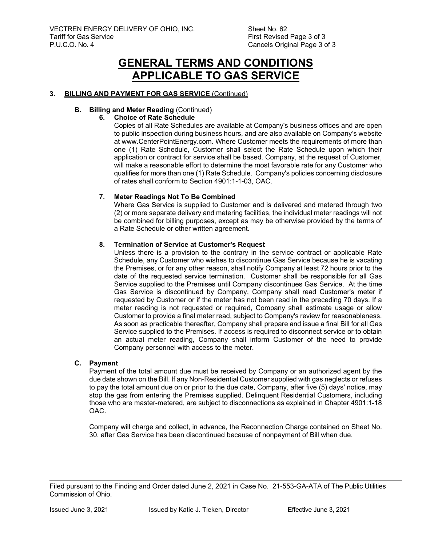## **GENERAL TERMS AND CONDITIONS APPLICABLE TO GAS SERVICE**

#### **3. BILLING AND PAYMENT FOR GAS SERVICE** (Continued)

#### **B.** Billing and Meter Reading (Continued)

#### **6. Choice of Rate Schedule**

Copies of all Rate Schedules are available at Company's business offices and are open to public inspection during business hours, and are also available on Company's website at www.CenterPointEnergy.com. Where Customer meets the requirements of more than one (1) Rate Schedule, Customer shall select the Rate Schedule upon which their application or contract for service shall be based. Company, at the request of Customer, will make a reasonable effort to determine the most favorable rate for any Customer who qualifies for more than one (1) Rate Schedule. Company's policies concerning disclosure of rates shall conform to Section 4901:1-1-03, OAC.

#### **7. Meter Readings Not To Be Combined**

Where Gas Service is supplied to Customer and is delivered and metered through two (2) or more separate delivery and metering facilities, the individual meter readings will not be combined for billing purposes, except as may be otherwise provided by the terms of a Rate Schedule or other written agreement.

#### **8. Termination of Service at Customer's Request**

Unless there is a provision to the contrary in the service contract or applicable Rate Schedule, any Customer who wishes to discontinue Gas Service because he is vacating the Premises, or for any other reason, shall notify Company at least 72 hours prior to the date of the requested service termination. Customer shall be responsible for all Gas Service supplied to the Premises until Company discontinues Gas Service. At the time Gas Service is discontinued by Company, Company shall read Customer's meter if requested by Customer or if the meter has not been read in the preceding 70 days. If a meter reading is not requested or required, Company shall estimate usage or allow Customer to provide a final meter read, subject to Company's review for reasonableness. As soon as practicable thereafter, Company shall prepare and issue a final Bill for all Gas Service supplied to the Premises. If access is required to disconnect service or to obtain an actual meter reading, Company shall inform Customer of the need to provide Company personnel with access to the meter.

#### **C. Payment**

Payment of the total amount due must be received by Company or an authorized agent by the due date shown on the Bill. If any Non-Residential Customer supplied with gas neglects or refuses to pay the total amount due on or prior to the due date, Company, after five (5) days' notice, may stop the gas from entering the Premises supplied. Delinquent Residential Customers, including those who are master-metered, are subject to disconnections as explained in Chapter 4901:1-18 OAC.

Company will charge and collect, in advance, the Reconnection Charge contained on Sheet No. 30, after Gas Service has been discontinued because of nonpayment of Bill when due.

Filed pursuant to the Finding and Order dated June 2, 2021 in Case No. 21-553-GA-ATA of The Public Utilities Commission of Ohio.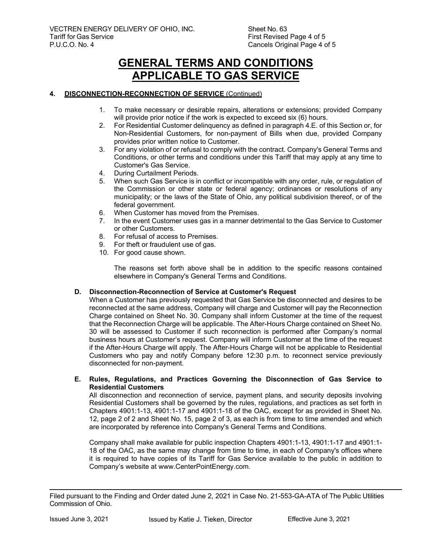## **GENERAL TERMS AND CONDITIONS APPLICABLE TO GAS SERVICE**

#### **4. DISCONNECTION-RECONNECTION OF SERVICE** (Continued)

- 1. To make necessary or desirable repairs, alterations or extensions; provided Company will provide prior notice if the work is expected to exceed six (6) hours.
- 2. For Residential Customer delinquency as defined in paragraph 4.E. of this Section or, for Non-Residential Customers, for non-payment of Bills when due, provided Company provides prior written notice to Customer.
- 3. For any violation of or refusal to comply with the contract. Company's General Terms and Conditions, or other terms and conditions under this Tariff that may apply at any time to Customer's Gas Service.
- 4. During Curtailment Periods.
- 5. When such Gas Service is in conflict or incompatible with any order, rule, or regulation of the Commission or other state or federal agency; ordinances or resolutions of any municipality; or the laws of the State of Ohio, any political subdivision thereof, or of the federal government.
- 6. When Customer has moved from the Premises.
- 7. In the event Customer uses gas in a manner detrimental to the Gas Service to Customer or other Customers.
- 8. For refusal of access to Premises.
- 9. For theft or fraudulent use of gas.
- 10. For good cause shown.

The reasons set forth above shall be in addition to the specific reasons contained elsewhere in Company's General Terms and Conditions.

#### **D. Disconnection-Reconnection of Service at Customer's Request**

When a Customer has previously requested that Gas Service be disconnected and desires to be reconnected at the same address, Company will charge and Customer will pay the Reconnection Charge contained on Sheet No. 30. Company shall inform Customer at the time of the request that the Reconnection Charge will be applicable. The After-Hours Charge contained on Sheet No. 30 will be assessed to Customer if such reconnection is performed after Company's normal business hours at Customer's request. Company will inform Customer at the time of the request if the After-Hours Charge will apply. The After-Hours Charge will not be applicable to Residential Customers who pay and notify Company before 12:30 p.m. to reconnect service previously disconnected for non-payment.

#### **E. Rules, Regulations, and Practices Governing the Disconnection of Gas Service to Residential Customers**

All disconnection and reconnection of service, payment plans, and security deposits involving Residential Customers shall be governed by the rules, regulations, and practices as set forth in Chapters 4901:1-13, 4901:1-17 and 4901:1-18 of the OAC, except for as provided in Sheet No. 12, page 2 of 2 and Sheet No. 15, page 2 of 3, as each is from time to time amended and which are incorporated by reference into Company's General Terms and Conditions.

Company shall make available for public inspection Chapters 4901:1-13, 4901:1-17 and 4901:1- 18 of the OAC, as the same may change from time to time, in each of Company's offices where it is required to have copies of its Tariff for Gas Service available to the public in addition to Company's website at www.CenterPointEnergy.com.

Filed pursuant to the Finding and Order dated June 2, 2021 in Case No. 21-553-GA-ATA of The Public Utilities Commission of Ohio.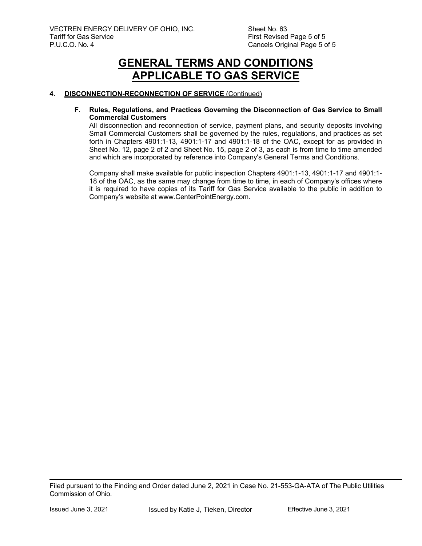## **GENERAL TERMS AND CONDITIONS APPLICABLE TO GAS SERVICE**

#### **4. DISCONNECTION-RECONNECTION OF SERVICE** (Continued)

#### **F. Rules, Regulations, and Practices Governing the Disconnection of Gas Service to Small Commercial Customers**

All disconnection and reconnection of service, payment plans, and security deposits involving Small Commercial Customers shall be governed by the rules, regulations, and practices as set forth in Chapters 4901:1-13, 4901:1-17 and 4901:1-18 of the OAC, except for as provided in Sheet No. 12, page 2 of 2 and Sheet No. 15, page 2 of 3, as each is from time to time amended and which are incorporated by reference into Company's General Terms and Conditions.

Company shall make available for public inspection Chapters 4901:1-13, 4901:1-17 and 4901:1- 18 of the OAC, as the same may change from time to time, in each of Company's offices where it is required to have copies of its Tariff for Gas Service available to the public in addition to Company's website at www.CenterPointEnergy.com.

Filed pursuant to the Finding and Order dated June 2, 2021 in Case No. 21-553-GA-ATA of The Public Utilities Commission of Ohio.